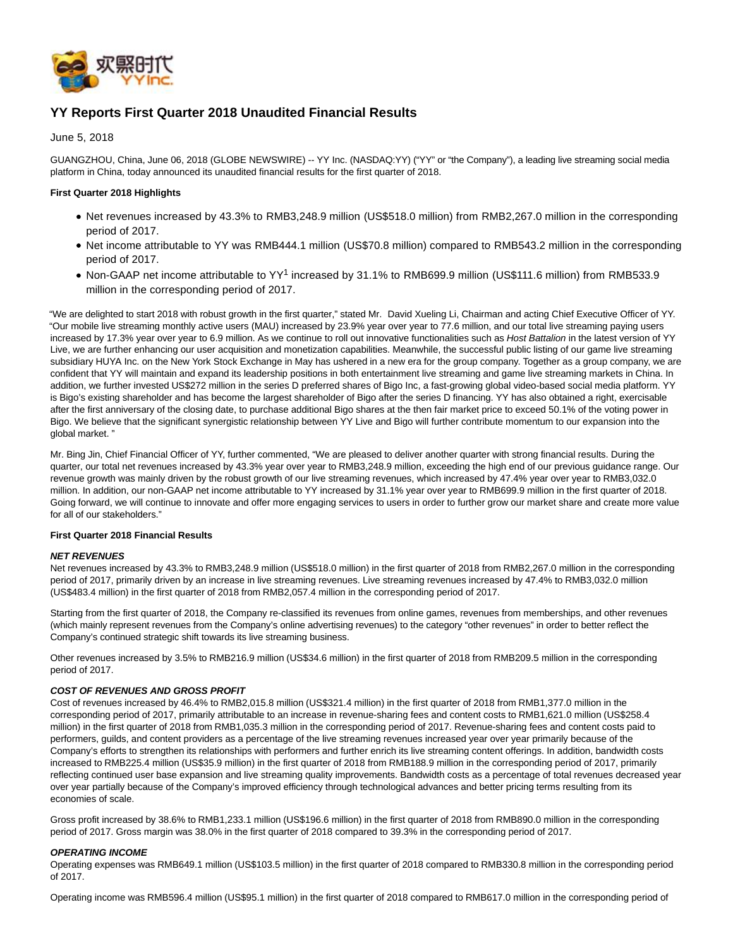

# **YY Reports First Quarter 2018 Unaudited Financial Results**

June 5, 2018

GUANGZHOU, China, June 06, 2018 (GLOBE NEWSWIRE) -- YY Inc. (NASDAQ:YY) ("YY" or "the Company"), a leading live streaming social media platform in China, today announced its unaudited financial results for the first quarter of 2018.

### **First Quarter 2018 Highlights**

- Net revenues increased by 43.3% to RMB3,248.9 million (US\$518.0 million) from RMB2,267.0 million in the corresponding period of 2017.
- Net income attributable to YY was RMB444.1 million (US\$70.8 million) compared to RMB543.2 million in the corresponding period of 2017.
- Non-GAAP net income attributable to YY<sup>1</sup> increased by 31.1% to RMB699.9 million (US\$111.6 million) from RMB533.9 million in the corresponding period of 2017.

"We are delighted to start 2018 with robust growth in the first quarter," stated Mr. David Xueling Li, Chairman and acting Chief Executive Officer of YY. "Our mobile live streaming monthly active users (MAU) increased by 23.9% year over year to 77.6 million, and our total live streaming paying users increased by 17.3% year over year to 6.9 million. As we continue to roll out innovative functionalities such as Host Battalion in the latest version of YY Live, we are further enhancing our user acquisition and monetization capabilities. Meanwhile, the successful public listing of our game live streaming subsidiary HUYA Inc. on the New York Stock Exchange in May has ushered in a new era for the group company. Together as a group company, we are confident that YY will maintain and expand its leadership positions in both entertainment live streaming and game live streaming markets in China. In addition, we further invested US\$272 million in the series D preferred shares of Bigo Inc, a fast-growing global video-based social media platform. YY is Bigo's existing shareholder and has become the largest shareholder of Bigo after the series D financing. YY has also obtained a right, exercisable after the first anniversary of the closing date, to purchase additional Bigo shares at the then fair market price to exceed 50.1% of the voting power in Bigo. We believe that the significant synergistic relationship between YY Live and Bigo will further contribute momentum to our expansion into the global market. "

Mr. Bing Jin, Chief Financial Officer of YY, further commented, "We are pleased to deliver another quarter with strong financial results. During the quarter, our total net revenues increased by 43.3% year over year to RMB3,248.9 million, exceeding the high end of our previous guidance range. Our revenue growth was mainly driven by the robust growth of our live streaming revenues, which increased by 47.4% year over year to RMB3,032.0 million. In addition, our non-GAAP net income attributable to YY increased by 31.1% year over year to RMB699.9 million in the first quarter of 2018. Going forward, we will continue to innovate and offer more engaging services to users in order to further grow our market share and create more value for all of our stakeholders."

#### **First Quarter 2018 Financial Results**

#### **NET REVENUES**

Net revenues increased by 43.3% to RMB3,248.9 million (US\$518.0 million) in the first quarter of 2018 from RMB2,267.0 million in the corresponding period of 2017, primarily driven by an increase in live streaming revenues. Live streaming revenues increased by 47.4% to RMB3,032.0 million (US\$483.4 million) in the first quarter of 2018 from RMB2,057.4 million in the corresponding period of 2017.

Starting from the first quarter of 2018, the Company re-classified its revenues from online games, revenues from memberships, and other revenues (which mainly represent revenues from the Company's online advertising revenues) to the category "other revenues" in order to better reflect the Company's continued strategic shift towards its live streaming business.

Other revenues increased by 3.5% to RMB216.9 million (US\$34.6 million) in the first quarter of 2018 from RMB209.5 million in the corresponding period of 2017.

#### **COST OF REVENUES AND GROSS PROFIT**

Cost of revenues increased by 46.4% to RMB2,015.8 million (US\$321.4 million) in the first quarter of 2018 from RMB1,377.0 million in the corresponding period of 2017, primarily attributable to an increase in revenue-sharing fees and content costs to RMB1,621.0 million (US\$258.4 million) in the first quarter of 2018 from RMB1,035.3 million in the corresponding period of 2017. Revenue-sharing fees and content costs paid to performers, guilds, and content providers as a percentage of the live streaming revenues increased year over year primarily because of the Company's efforts to strengthen its relationships with performers and further enrich its live streaming content offerings. In addition, bandwidth costs increased to RMB225.4 million (US\$35.9 million) in the first quarter of 2018 from RMB188.9 million in the corresponding period of 2017, primarily reflecting continued user base expansion and live streaming quality improvements. Bandwidth costs as a percentage of total revenues decreased year over year partially because of the Company's improved efficiency through technological advances and better pricing terms resulting from its economies of scale.

Gross profit increased by 38.6% to RMB1,233.1 million (US\$196.6 million) in the first quarter of 2018 from RMB890.0 million in the corresponding period of 2017. Gross margin was 38.0% in the first quarter of 2018 compared to 39.3% in the corresponding period of 2017.

#### **OPERATING INCOME**

Operating expenses was RMB649.1 million (US\$103.5 million) in the first quarter of 2018 compared to RMB330.8 million in the corresponding period of 2017.

Operating income was RMB596.4 million (US\$95.1 million) in the first quarter of 2018 compared to RMB617.0 million in the corresponding period of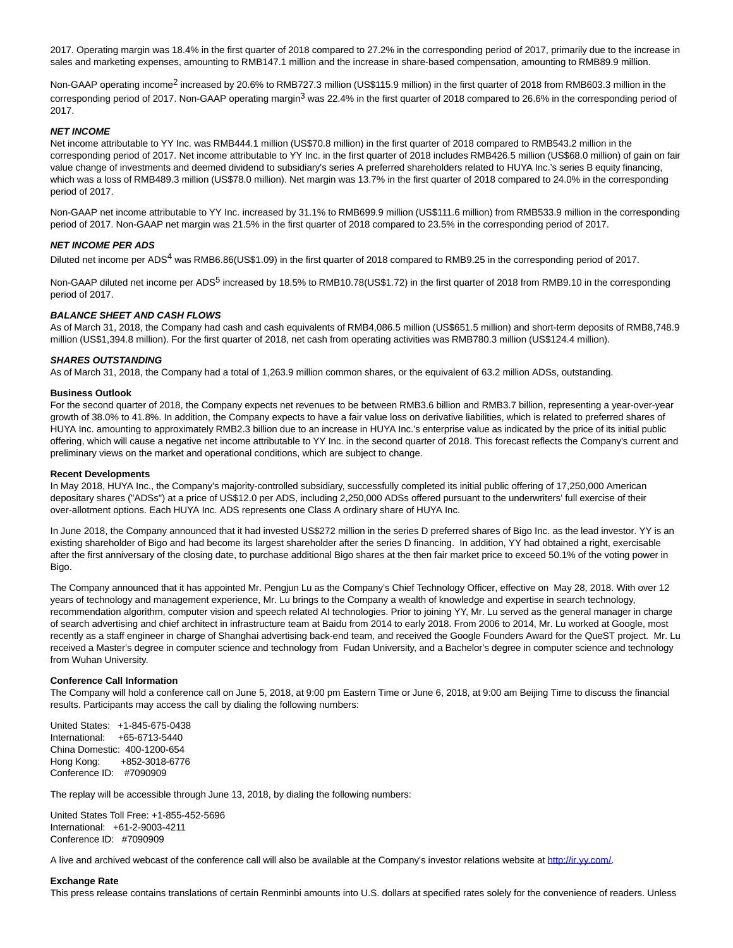2017. Operating margin was 18.4% in the first quarter of 2018 compared to 27.2% in the corresponding period of 2017, primarily due to the increase in sales and marketing expenses, amounting to RMB147.1 million and the increase in share-based compensation, amounting to RMB89.9 million.

Non-GAAP operating income<sup>2</sup> increased by 20.6% to RMB727.3 million (US\$115.9 million) in the first quarter of 2018 from RMB603.3 million in the corresponding period of 2017. Non-GAAP operating margin<sup>3</sup> was 22.4% in the first quarter of 2018 compared to 26.6% in the corresponding period of 2017.

#### **NET INCOME**

Net income attributable to YY Inc. was RMB444.1 million (US\$70.8 million) in the first quarter of 2018 compared to RMB543.2 million in the corresponding period of 2017. Net income attributable to YY Inc. in the first quarter of 2018 includes RMB426.5 million (US\$68.0 million) of gain on fair value change of investments and deemed dividend to subsidiary's series A preferred shareholders related to HUYA Inc.'s series B equity financing, which was a loss of RMB489.3 million (US\$78.0 million). Net margin was 13.7% in the first quarter of 2018 compared to 24.0% in the corresponding period of 2017.

Non-GAAP net income attributable to YY Inc. increased by 31.1% to RMB699.9 million (US\$111.6 million) from RMB533.9 million in the corresponding period of 2017. Non-GAAP net margin was 21.5% in the first quarter of 2018 compared to 23.5% in the corresponding period of 2017.

#### **NET INCOME PER ADS**

Diluted net income per ADS<sup>4</sup> was RMB6.86(US\$1.09) in the first quarter of 2018 compared to RMB9.25 in the corresponding period of 2017.

Non-GAAP diluted net income per ADS<sup>5</sup> increased by 18.5% to RMB10.78(US\$1.72) in the first quarter of 2018 from RMB9.10 in the corresponding period of 2017.

## **BALANCE SHEET AND CASH FLOWS**

As of March 31, 2018, the Company had cash and cash equivalents of RMB4,086.5 million (US\$651.5 million) and short-term deposits of RMB8,748.9 million (US\$1,394.8 million). For the first quarter of 2018, net cash from operating activities was RMB780.3 million (US\$124.4 million).

#### **SHARES OUTSTANDING**

As of March 31, 2018, the Company had a total of 1,263.9 million common shares, or the equivalent of 63.2 million ADSs, outstanding.

#### **Business Outlook**

For the second quarter of 2018, the Company expects net revenues to be between RMB3.6 billion and RMB3.7 billion, representing a year-over-year growth of 38.0% to 41.8%. In addition, the Company expects to have a fair value loss on derivative liabilities, which is related to preferred shares of HUYA Inc. amounting to approximately RMB2.3 billion due to an increase in HUYA Inc.'s enterprise value as indicated by the price of its initial public offering, which will cause a negative net income attributable to YY Inc. in the second quarter of 2018. This forecast reflects the Company's current and preliminary views on the market and operational conditions, which are subject to change.

#### **Recent Developments**

In May 2018, HUYA Inc., the Company's majority-controlled subsidiary, successfully completed its initial public offering of 17,250,000 American depositary shares ("ADSs") at a price of US\$12.0 per ADS, including 2,250,000 ADSs offered pursuant to the underwriters' full exercise of their over-allotment options. Each HUYA Inc. ADS represents one Class A ordinary share of HUYA Inc.

In June 2018, the Company announced that it had invested US\$272 million in the series D preferred shares of Bigo Inc. as the lead investor. YY is an existing shareholder of Bigo and had become its largest shareholder after the series D financing. In addition, YY had obtained a right, exercisable after the first anniversary of the closing date, to purchase additional Bigo shares at the then fair market price to exceed 50.1% of the voting power in Bigo.

The Company announced that it has appointed Mr. Pengjun Lu as the Company's Chief Technology Officer, effective on May 28, 2018. With over 12 years of technology and management experience, Mr. Lu brings to the Company a wealth of knowledge and expertise in search technology, recommendation algorithm, computer vision and speech related AI technologies. Prior to joining YY, Mr. Lu served as the general manager in charge of search advertising and chief architect in infrastructure team at Baidu from 2014 to early 2018. From 2006 to 2014, Mr. Lu worked at Google, most recently as a staff engineer in charge of Shanghai advertising back-end team, and received the Google Founders Award for the QueST project. Mr. Lu received a Master's degree in computer science and technology from Fudan University, and a Bachelor's degree in computer science and technology from Wuhan University.

#### **Conference Call Information**

The Company will hold a conference call on June 5, 2018, at 9:00 pm Eastern Time or June 6, 2018, at 9:00 am Beijing Time to discuss the financial results. Participants may access the call by dialing the following numbers:

United States: +1-845-675-0438 International: +65-6713-5440 China Domestic: 400-1200-654 Hong Kong: +852-3018-6776 Conference ID: #7090909

The replay will be accessible through June 13, 2018, by dialing the following numbers:

United States Toll Free: +1-855-452-5696 International: +61-2-9003-4211 Conference ID: #7090909

A live and archived webcast of the conference call will also be available at the Company's investor relations website at http://ir.yy.com/.

### **Exchange Rate**

This press release contains translations of certain Renminbi amounts into U.S. dollars at specified rates solely for the convenience of readers. Unless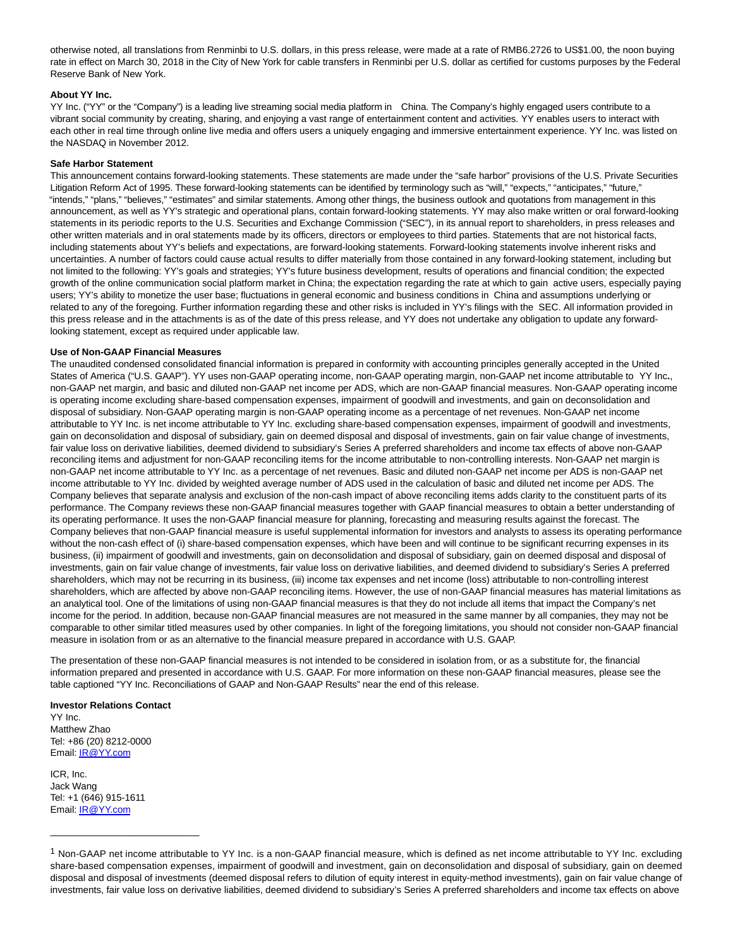otherwise noted, all translations from Renminbi to U.S. dollars, in this press release, were made at a rate of RMB6.2726 to US\$1.00, the noon buying rate in effect on March 30, 2018 in the City of New York for cable transfers in Renminbi per U.S. dollar as certified for customs purposes by the Federal Reserve Bank of New York.

#### **About YY Inc.**

YY Inc. ("YY" or the "Company") is a leading live streaming social media platform in China. The Company's highly engaged users contribute to a vibrant social community by creating, sharing, and enjoying a vast range of entertainment content and activities. YY enables users to interact with each other in real time through online live media and offers users a uniquely engaging and immersive entertainment experience. YY Inc. was listed on the NASDAQ in November 2012.

#### **Safe Harbor Statement**

This announcement contains forward-looking statements. These statements are made under the "safe harbor" provisions of the U.S. Private Securities Litigation Reform Act of 1995. These forward-looking statements can be identified by terminology such as "will," "expects," "anticipates," "future," "intends," "plans," "believes," "estimates" and similar statements. Among other things, the business outlook and quotations from management in this announcement, as well as YY's strategic and operational plans, contain forward-looking statements. YY may also make written or oral forward-looking statements in its periodic reports to the U.S. Securities and Exchange Commission ("SEC"), in its annual report to shareholders, in press releases and other written materials and in oral statements made by its officers, directors or employees to third parties. Statements that are not historical facts, including statements about YY's beliefs and expectations, are forward-looking statements. Forward-looking statements involve inherent risks and uncertainties. A number of factors could cause actual results to differ materially from those contained in any forward-looking statement, including but not limited to the following: YY's goals and strategies; YY's future business development, results of operations and financial condition; the expected growth of the online communication social platform market in China; the expectation regarding the rate at which to gain active users, especially paying users; YY's ability to monetize the user base; fluctuations in general economic and business conditions in China and assumptions underlying or related to any of the foregoing. Further information regarding these and other risks is included in YY's filings with the SEC. All information provided in this press release and in the attachments is as of the date of this press release, and YY does not undertake any obligation to update any forwardlooking statement, except as required under applicable law.

#### **Use of Non-GAAP Financial Measures**

The unaudited condensed consolidated financial information is prepared in conformity with accounting principles generally accepted in the United States of America ("U.S. GAAP"). YY uses non-GAAP operating income, non-GAAP operating margin, non-GAAP net income attributable to YY Inc**.**, non-GAAP net margin, and basic and diluted non-GAAP net income per ADS, which are non-GAAP financial measures. Non-GAAP operating income is operating income excluding share-based compensation expenses, impairment of goodwill and investments, and gain on deconsolidation and disposal of subsidiary. Non-GAAP operating margin is non-GAAP operating income as a percentage of net revenues. Non-GAAP net income attributable to YY Inc. is net income attributable to YY Inc. excluding share-based compensation expenses, impairment of goodwill and investments, gain on deconsolidation and disposal of subsidiary, gain on deemed disposal and disposal of investments, gain on fair value change of investments, fair value loss on derivative liabilities, deemed dividend to subsidiary's Series A preferred shareholders and income tax effects of above non-GAAP reconciling items and adjustment for non-GAAP reconciling items for the income attributable to non-controlling interests. Non-GAAP net margin is non-GAAP net income attributable to YY Inc. as a percentage of net revenues. Basic and diluted non-GAAP net income per ADS is non-GAAP net income attributable to YY Inc. divided by weighted average number of ADS used in the calculation of basic and diluted net income per ADS. The Company believes that separate analysis and exclusion of the non-cash impact of above reconciling items adds clarity to the constituent parts of its performance. The Company reviews these non-GAAP financial measures together with GAAP financial measures to obtain a better understanding of its operating performance. It uses the non-GAAP financial measure for planning, forecasting and measuring results against the forecast. The Company believes that non-GAAP financial measure is useful supplemental information for investors and analysts to assess its operating performance without the non-cash effect of (i) share-based compensation expenses, which have been and will continue to be significant recurring expenses in its business, (ii) impairment of goodwill and investments, gain on deconsolidation and disposal of subsidiary, gain on deemed disposal and disposal of investments, gain on fair value change of investments, fair value loss on derivative liabilities, and deemed dividend to subsidiary's Series A preferred shareholders, which may not be recurring in its business, (iii) income tax expenses and net income (loss) attributable to non-controlling interest shareholders, which are affected by above non-GAAP reconciling items. However, the use of non-GAAP financial measures has material limitations as an analytical tool. One of the limitations of using non-GAAP financial measures is that they do not include all items that impact the Company's net income for the period. In addition, because non-GAAP financial measures are not measured in the same manner by all companies, they may not be comparable to other similar titled measures used by other companies. In light of the foregoing limitations, you should not consider non-GAAP financial measure in isolation from or as an alternative to the financial measure prepared in accordance with U.S. GAAP.

The presentation of these non-GAAP financial measures is not intended to be considered in isolation from, or as a substitute for, the financial information prepared and presented in accordance with U.S. GAAP. For more information on these non-GAAP financial measures, please see the table captioned "YY Inc. Reconciliations of GAAP and Non-GAAP Results" near the end of this release.

#### **Investor Relations Contact**

YY Inc. Matthew Zhao Tel: +86 (20) 8212-0000 Email[: IR@YY.com](mailto:IR@YY.com)

ICR, Inc. Jack Wang Tel: +1 (646) 915-1611 Email[: IR@YY.com](https://www.globenewswire.com/Tracker?data=HtdyuDzE4l3FzVIHzJI-S24dXFuJ7rwRg8mMEjzT3iXhR9JHl2yuIGiUDxZzItxL)

\_\_\_\_\_\_\_\_\_\_\_\_\_\_\_\_\_\_\_\_\_\_\_\_\_\_\_\_

<sup>&</sup>lt;sup>1</sup> Non-GAAP net income attributable to YY Inc. is a non-GAAP financial measure, which is defined as net income attributable to YY Inc. excluding share-based compensation expenses, impairment of goodwill and investment, gain on deconsolidation and disposal of subsidiary, gain on deemed disposal and disposal of investments (deemed disposal refers to dilution of equity interest in equity-method investments), gain on fair value change of investments, fair value loss on derivative liabilities, deemed dividend to subsidiary's Series A preferred shareholders and income tax effects on above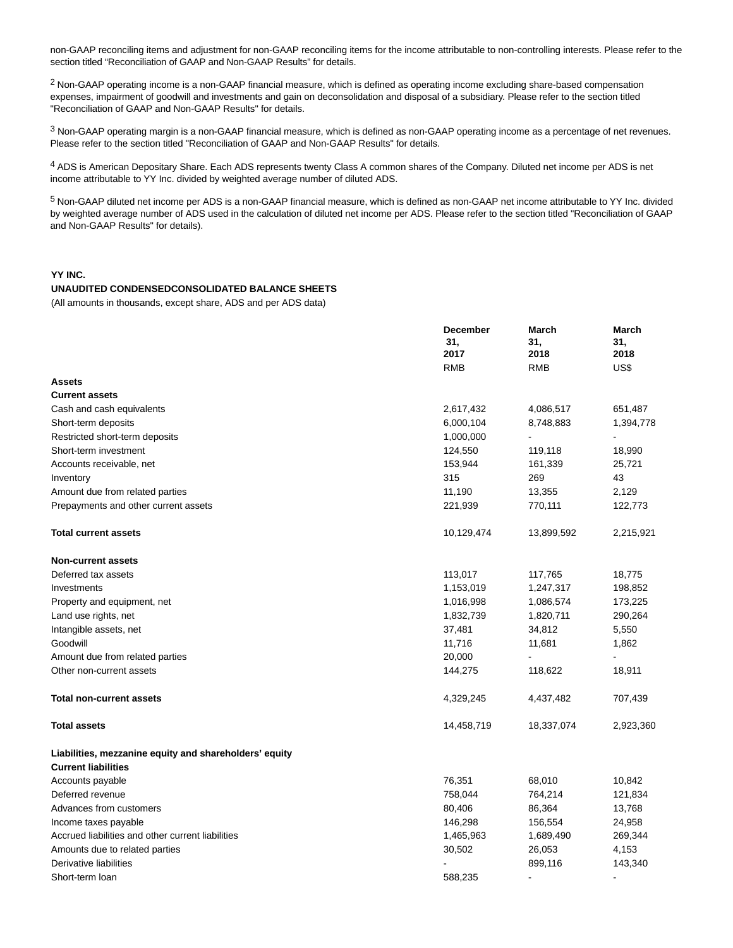non-GAAP reconciling items and adjustment for non-GAAP reconciling items for the income attributable to non-controlling interests. Please refer to the section titled "Reconciliation of GAAP and Non-GAAP Results" for details.

<sup>2</sup> Non-GAAP operating income is a non-GAAP financial measure, which is defined as operating income excluding share-based compensation expenses, impairment of goodwill and investments and gain on deconsolidation and disposal of a subsidiary. Please refer to the section titled "Reconciliation of GAAP and Non-GAAP Results" for details.

3 Non-GAAP operating margin is a non-GAAP financial measure, which is defined as non-GAAP operating income as a percentage of net revenues. Please refer to the section titled "Reconciliation of GAAP and Non-GAAP Results" for details.

4 ADS is American Depositary Share. Each ADS represents twenty Class A common shares of the Company. Diluted net income per ADS is net income attributable to YY Inc. divided by weighted average number of diluted ADS.

5 Non-GAAP diluted net income per ADS is a non-GAAP financial measure, which is defined as non-GAAP net income attributable to YY Inc. divided by weighted average number of ADS used in the calculation of diluted net income per ADS. Please refer to the section titled "Reconciliation of GAAP and Non-GAAP Results" for details).

**March**

**March**

### **YY INC.**

## **UNAUDITED CONDENSEDCONSOLIDATED BALANCE SHEETS**

(All amounts in thousands, except share, ADS and per ADS data)

|                                                        | <b>December</b><br>31,<br>2017 | March<br>31,<br>2018 | March<br>31,<br>2018 |
|--------------------------------------------------------|--------------------------------|----------------------|----------------------|
| <b>Assets</b>                                          | <b>RMB</b>                     | <b>RMB</b>           | US\$                 |
| <b>Current assets</b>                                  |                                |                      |                      |
| Cash and cash equivalents                              | 2,617,432                      | 4,086,517            | 651,487              |
| Short-term deposits                                    | 6,000,104                      | 8,748,883            | 1,394,778            |
| Restricted short-term deposits                         | 1,000,000                      |                      |                      |
| Short-term investment                                  | 124,550                        | 119,118              | 18,990               |
| Accounts receivable, net                               | 153,944                        | 161,339              | 25,721               |
| Inventory                                              | 315                            | 269                  | 43                   |
| Amount due from related parties                        | 11,190                         | 13,355               | 2,129                |
| Prepayments and other current assets                   | 221,939                        | 770,111              | 122,773              |
| <b>Total current assets</b>                            | 10,129,474                     | 13,899,592           | 2,215,921            |
| <b>Non-current assets</b>                              |                                |                      |                      |
| Deferred tax assets                                    | 113,017                        | 117,765              | 18,775               |
| Investments                                            | 1,153,019                      | 1,247,317            | 198,852              |
| Property and equipment, net                            | 1,016,998                      | 1,086,574            | 173,225              |
| Land use rights, net                                   | 1,832,739                      | 1,820,711            | 290,264              |
| Intangible assets, net                                 | 37,481                         | 34,812               | 5,550                |
| Goodwill                                               | 11,716                         | 11,681               | 1,862                |
| Amount due from related parties                        | 20,000                         | ÷,                   |                      |
| Other non-current assets                               | 144,275                        | 118,622              | 18,911               |
| <b>Total non-current assets</b>                        | 4,329,245                      | 4,437,482            | 707,439              |
| <b>Total assets</b>                                    | 14,458,719                     | 18,337,074           | 2,923,360            |
| Liabilities, mezzanine equity and shareholders' equity |                                |                      |                      |
| <b>Current liabilities</b>                             |                                |                      |                      |
| Accounts payable                                       | 76,351                         | 68,010               | 10,842               |
| Deferred revenue                                       | 758,044                        | 764,214              | 121,834              |
| Advances from customers                                | 80,406                         | 86,364               | 13,768               |
| Income taxes payable                                   | 146,298                        | 156,554              | 24,958               |
| Accrued liabilities and other current liabilities      | 1,465,963                      | 1,689,490            | 269,344              |
| Amounts due to related parties                         | 30,502                         | 26,053               | 4,153                |
| Derivative liabilities                                 |                                | 899,116              | 143,340              |
| Short-term loan                                        | 588,235                        | $\blacksquare$       | $\blacksquare$       |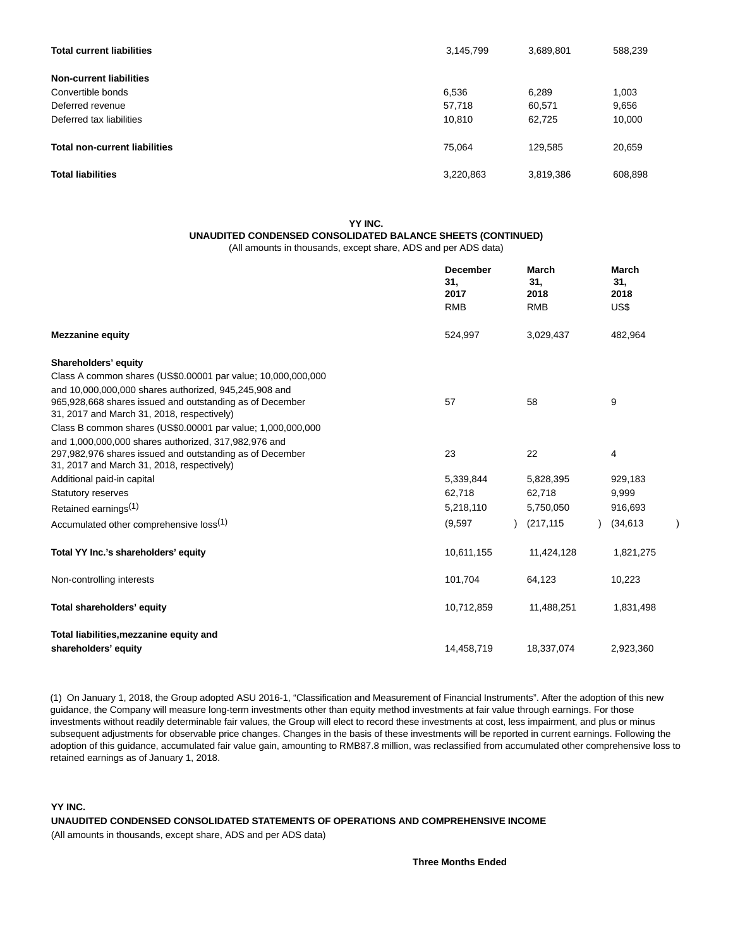| <b>Total current liabilities</b>     | 3,145,799 | 3,689,801 | 588,239 |
|--------------------------------------|-----------|-----------|---------|
| <b>Non-current liabilities</b>       |           |           |         |
| Convertible bonds                    | 6,536     | 6,289     | 1,003   |
| Deferred revenue                     | 57,718    | 60,571    | 9,656   |
| Deferred tax liabilities             | 10,810    | 62,725    | 10,000  |
| <b>Total non-current liabilities</b> | 75.064    | 129,585   | 20,659  |
| <b>Total liabilities</b>             | 3,220,863 | 3,819,386 | 608,898 |

# **YY INC. UNAUDITED CONDENSED CONSOLIDATED BALANCE SHEETS (CONTINUED)**

(All amounts in thousands, except share, ADS and per ADS data)

|                                                                                                        | <b>December</b><br>31.<br>2017 | March<br>31.<br>2018        | <b>March</b><br>31.<br>2018 |
|--------------------------------------------------------------------------------------------------------|--------------------------------|-----------------------------|-----------------------------|
|                                                                                                        | <b>RMB</b>                     | <b>RMB</b>                  | US\$                        |
| <b>Mezzanine equity</b>                                                                                | 524,997                        | 3,029,437                   | 482,964                     |
| Shareholders' equity                                                                                   |                                |                             |                             |
| Class A common shares (US\$0.00001 par value; 10,000,000,000                                           |                                |                             |                             |
| and 10,000,000,000 shares authorized, 945,245,908 and                                                  |                                |                             |                             |
| 965,928,668 shares issued and outstanding as of December<br>31, 2017 and March 31, 2018, respectively) | 57                             | 58                          | 9                           |
| Class B common shares (US\$0.00001 par value; 1,000,000,000                                            |                                |                             |                             |
| and 1,000,000,000 shares authorized, 317,982,976 and                                                   |                                |                             |                             |
| 297,982,976 shares issued and outstanding as of December                                               | 23                             | 22                          | 4                           |
| 31, 2017 and March 31, 2018, respectively)                                                             |                                |                             |                             |
| Additional paid-in capital                                                                             | 5,339,844                      | 5,828,395                   | 929,183                     |
| <b>Statutory reserves</b>                                                                              | 62,718                         | 62,718                      | 9,999                       |
| Retained earnings <sup>(1)</sup>                                                                       | 5,218,110                      | 5,750,050                   | 916,693                     |
| Accumulated other comprehensive loss <sup>(1)</sup>                                                    | (9,597)                        | (217, 115)<br>$\mathcal{L}$ | (34, 613)                   |
| Total YY Inc.'s shareholders' equity                                                                   | 10,611,155                     | 11,424,128                  | 1,821,275                   |
| Non-controlling interests                                                                              | 101,704                        | 64,123                      | 10,223                      |
| Total shareholders' equity                                                                             | 10,712,859                     | 11,488,251                  | 1,831,498                   |
| Total liabilities, mezzanine equity and                                                                |                                |                             |                             |
| shareholders' equity                                                                                   | 14,458,719                     | 18,337,074                  | 2,923,360                   |

(1) On January 1, 2018, the Group adopted ASU 2016-1, "Classification and Measurement of Financial Instruments". After the adoption of this new guidance, the Company will measure long-term investments other than equity method investments at fair value through earnings. For those investments without readily determinable fair values, the Group will elect to record these investments at cost, less impairment, and plus or minus subsequent adjustments for observable price changes. Changes in the basis of these investments will be reported in current earnings. Following the adoption of this guidance, accumulated fair value gain, amounting to RMB87.8 million, was reclassified from accumulated other comprehensive loss to retained earnings as of January 1, 2018.

#### **YY INC.**

**UNAUDITED CONDENSED CONSOLIDATED STATEMENTS OF OPERATIONS AND COMPREHENSIVE INCOME**

(All amounts in thousands, except share, ADS and per ADS data)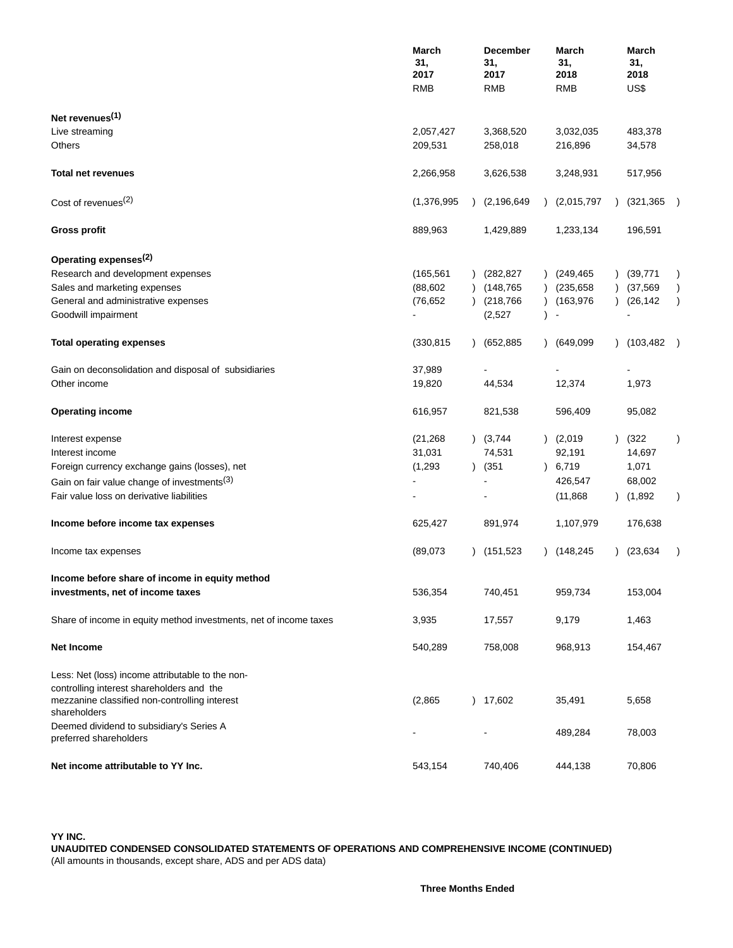|                                                                                                            | March<br>31,<br>2017<br><b>RMB</b> | <b>December</b><br>31,<br>2017<br><b>RMB</b> | March<br>31,<br>2018<br><b>RMB</b> | March<br>31,<br>2018<br>US\$ |                  |
|------------------------------------------------------------------------------------------------------------|------------------------------------|----------------------------------------------|------------------------------------|------------------------------|------------------|
| Net revenues <sup>(1)</sup>                                                                                |                                    |                                              |                                    |                              |                  |
| Live streaming                                                                                             | 2,057,427                          | 3,368,520                                    | 3,032,035                          | 483,378                      |                  |
| Others                                                                                                     | 209,531                            | 258,018                                      | 216,896                            | 34,578                       |                  |
| <b>Total net revenues</b>                                                                                  | 2,266,958                          | 3,626,538                                    | 3,248,931                          | 517,956                      |                  |
| Cost of revenues <sup>(2)</sup>                                                                            | (1,376,995)                        | (2, 196, 649)                                | (2,015,797)                        | (321, 365)                   |                  |
| <b>Gross profit</b>                                                                                        | 889,963                            | 1,429,889                                    | 1,233,134                          | 196,591                      |                  |
| Operating expenses <sup>(2)</sup>                                                                          |                                    |                                              |                                    |                              |                  |
| Research and development expenses                                                                          | (165, 561)                         | (282, 827)                                   | (249, 465)                         | (39, 771)                    | $\lambda$        |
| Sales and marketing expenses                                                                               | (88, 602)                          | (148,765                                     | (235, 658)                         | (37, 569)                    | $\left( \right)$ |
| General and administrative expenses                                                                        | (76, 652)                          | (218, 766)                                   | (163, 976)                         | (26, 142)                    | $\lambda$        |
| Goodwill impairment                                                                                        |                                    | (2,527)                                      |                                    |                              |                  |
| <b>Total operating expenses</b>                                                                            | (330, 815)                         | (652,885)                                    | (649,099<br>$\mathcal{L}$          | (103, 482)                   |                  |
| Gain on deconsolidation and disposal of subsidiaries                                                       | 37,989                             |                                              |                                    |                              |                  |
| Other income                                                                                               | 19,820                             | 44,534                                       | 12,374                             | 1,973                        |                  |
| <b>Operating income</b>                                                                                    | 616,957                            | 821,538                                      | 596,409                            | 95,082                       |                  |
| Interest expense                                                                                           | (21, 268)                          | (3,744)                                      | (2,019)                            | (322)                        | $\lambda$        |
| Interest income                                                                                            | 31,031                             | 74,531                                       | 92,191                             | 14,697                       |                  |
| Foreign currency exchange gains (losses), net                                                              | (1,293)                            | $)$ (351)                                    | 6,719<br>$\lambda$                 | 1,071                        |                  |
| Gain on fair value change of investments <sup>(3)</sup>                                                    |                                    |                                              | 426,547                            | 68,002                       |                  |
| Fair value loss on derivative liabilities                                                                  |                                    |                                              | (11, 868)                          | (1,892)                      | $\lambda$        |
|                                                                                                            |                                    |                                              |                                    |                              |                  |
| Income before income tax expenses                                                                          | 625,427                            | 891,974                                      | 1,107,979                          | 176,638                      |                  |
| Income tax expenses                                                                                        | (89,073)                           | (151, 523)                                   | (148, 245)                         | (23, 634)                    |                  |
| Income before share of income in equity method                                                             |                                    |                                              |                                    |                              |                  |
| investments, net of income taxes                                                                           | 536,354                            | 740,451                                      | 959,734                            | 153,004                      |                  |
| Share of income in equity method investments, net of income taxes                                          | 3,935                              | 17,557                                       | 9,179                              | 1,463                        |                  |
| Net Income                                                                                                 | 540,289                            | 758,008                                      | 968,913                            | 154,467                      |                  |
| Less: Net (loss) income attributable to the non-                                                           |                                    |                                              |                                    |                              |                  |
| controlling interest shareholders and the<br>mezzanine classified non-controlling interest<br>shareholders | (2,865)                            | ) 17,602                                     | 35,491                             | 5,658                        |                  |
| Deemed dividend to subsidiary's Series A<br>preferred shareholders                                         |                                    |                                              | 489,284                            | 78,003                       |                  |
| Net income attributable to YY Inc.                                                                         | 543,154                            | 740,406                                      | 444,138                            | 70,806                       |                  |

**YY INC.**

**UNAUDITED CONDENSED CONSOLIDATED STATEMENTS OF OPERATIONS AND COMPREHENSIVE INCOME (CONTINUED)** (All amounts in thousands, except share, ADS and per ADS data)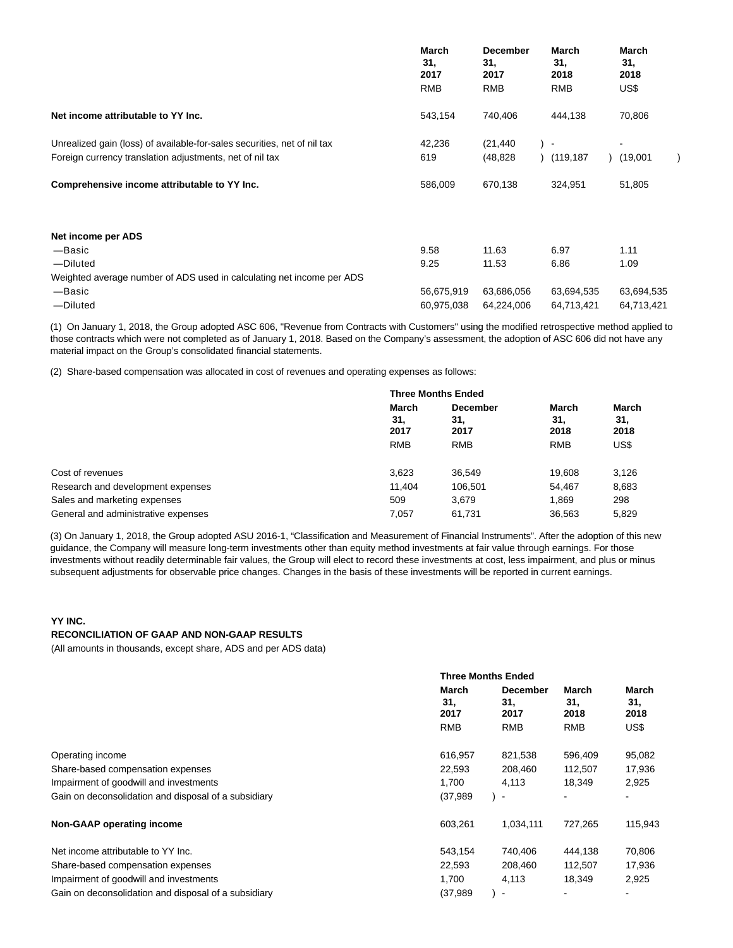|                                                                          | March<br>31,<br>2017<br><b>RMB</b> | <b>December</b><br>31,<br>2017<br>RMB | <b>March</b><br>31,<br>2018<br><b>RMB</b> | March<br>31,<br>2018<br>US\$ |
|--------------------------------------------------------------------------|------------------------------------|---------------------------------------|-------------------------------------------|------------------------------|
| Net income attributable to YY Inc.                                       | 543,154                            | 740,406                               | 444,138                                   | 70,806                       |
| Unrealized gain (loss) of available-for-sales securities, net of nil tax | 42,236                             | (21, 440)                             | $\sim$                                    |                              |
| Foreign currency translation adjustments, net of nil tax                 | 619                                | (48, 828)                             | (119, 187)                                | (19,001)                     |
| Comprehensive income attributable to YY Inc.                             | 586,009                            | 670,138                               | 324,951                                   | 51,805                       |
| Net income per ADS                                                       |                                    |                                       |                                           |                              |
| $-$ Basic                                                                | 9.58                               | 11.63                                 | 6.97                                      | 1.11                         |
| -Diluted                                                                 | 9.25                               | 11.53                                 | 6.86                                      | 1.09                         |
| Weighted average number of ADS used in calculating net income per ADS    |                                    |                                       |                                           |                              |
| —Basic                                                                   | 56,675,919                         | 63,686,056                            | 63,694,535                                | 63,694,535                   |
| -Diluted                                                                 | 60,975,038                         | 64,224,006                            | 64,713,421                                | 64,713,421                   |

(1) On January 1, 2018, the Group adopted ASC 606, "Revenue from Contracts with Customers" using the modified retrospective method applied to those contracts which were not completed as of January 1, 2018. Based on the Company's assessment, the adoption of ASC 606 did not have any material impact on the Group's consolidated financial statements.

(2) Share-based compensation was allocated in cost of revenues and operating expenses as follows:

|                                     |            | <b>Three Months Ended</b> |            |       |  |
|-------------------------------------|------------|---------------------------|------------|-------|--|
|                                     | March      | <b>December</b>           | March      | March |  |
|                                     | 31,        | 31,                       | 31.        | 31,   |  |
|                                     | 2017       | 2017                      | 2018       | 2018  |  |
|                                     | <b>RMB</b> | <b>RMB</b>                | <b>RMB</b> | US\$  |  |
|                                     |            |                           |            |       |  |
| Cost of revenues                    | 3,623      | 36,549                    | 19.608     | 3,126 |  |
| Research and development expenses   | 11.404     | 106,501                   | 54.467     | 8,683 |  |
| Sales and marketing expenses        | 509        | 3,679                     | 1.869      | 298   |  |
| General and administrative expenses | 7.057      | 61,731                    | 36,563     | 5.829 |  |

(3) On January 1, 2018, the Group adopted ASU 2016-1, "Classification and Measurement of Financial Instruments". After the adoption of this new guidance, the Company will measure long-term investments other than equity method investments at fair value through earnings. For those investments without readily determinable fair values, the Group will elect to record these investments at cost, less impairment, and plus or minus subsequent adjustments for observable price changes. Changes in the basis of these investments will be reported in current earnings.

## **YY INC. RECONCILIATION OF GAAP AND NON-GAAP RESULTS**

(All amounts in thousands, except share, ADS and per ADS data)

|                                                      | <b>Three Months Ended</b>   |                                |                      |                             |  |
|------------------------------------------------------|-----------------------------|--------------------------------|----------------------|-----------------------------|--|
|                                                      | <b>March</b><br>31,<br>2017 | <b>December</b><br>31.<br>2017 | March<br>31,<br>2018 | <b>March</b><br>31,<br>2018 |  |
|                                                      | <b>RMB</b>                  | <b>RMB</b>                     | <b>RMB</b>           | US\$                        |  |
| Operating income                                     | 616,957                     | 821,538                        | 596,409              | 95,082                      |  |
| Share-based compensation expenses                    | 22,593                      | 208,460                        | 112,507              | 17,936                      |  |
| Impairment of goodwill and investments               | 1.700                       | 4,113                          | 18,349               | 2,925                       |  |
| Gain on deconsolidation and disposal of a subsidiary | (37, 989)                   | $\blacksquare$                 |                      |                             |  |
| Non-GAAP operating income                            | 603,261                     | 1,034,111                      | 727.265              | 115,943                     |  |
| Net income attributable to YY Inc.                   | 543,154                     | 740,406                        | 444,138              | 70,806                      |  |
| Share-based compensation expenses                    | 22,593                      | 208,460                        | 112,507              | 17,936                      |  |
| Impairment of goodwill and investments               | 1,700                       | 4,113                          | 18,349               | 2,925                       |  |
| Gain on deconsolidation and disposal of a subsidiary | (37,989)                    | $\blacksquare$                 |                      |                             |  |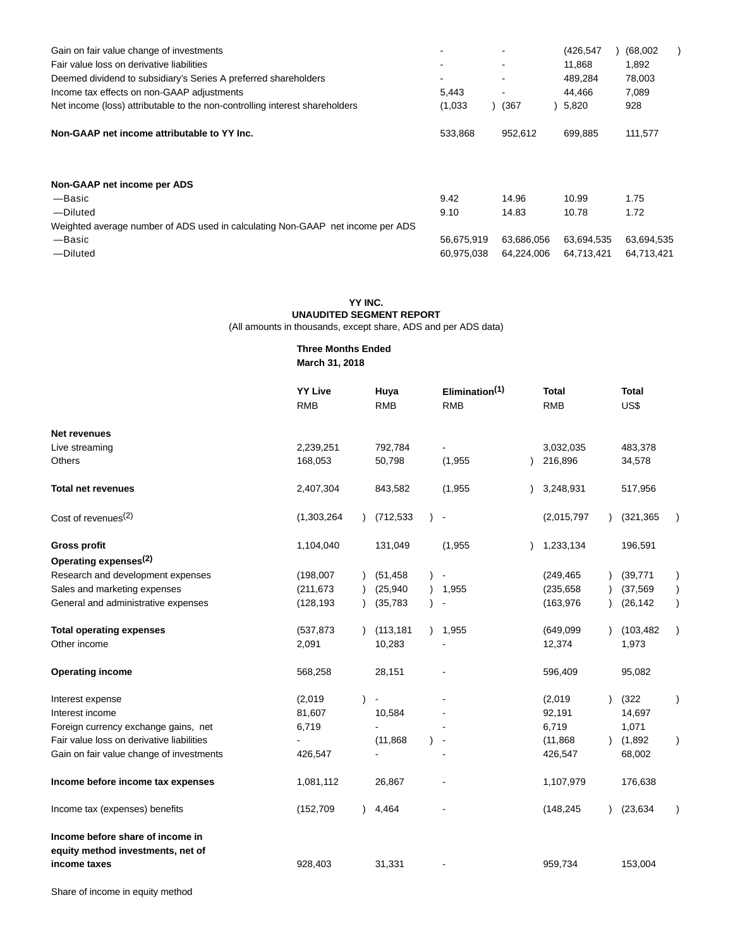| Gain on fair value change of investments                                       | $\overline{\phantom{a}}$ |            | (426, 547) | (68,002)   |
|--------------------------------------------------------------------------------|--------------------------|------------|------------|------------|
| Fair value loss on derivative liabilities                                      | $\overline{\phantom{a}}$ |            | 11,868     | 1,892      |
| Deemed dividend to subsidiary's Series A preferred shareholders                | ٠                        |            | 489,284    | 78,003     |
| Income tax effects on non-GAAP adjustments                                     | 5,443                    |            | 44.466     | 7,089      |
| Net income (loss) attributable to the non-controlling interest shareholders    | (1,033)                  | (367       | 5,820      | 928        |
| Non-GAAP net income attributable to YY Inc.                                    | 533,868                  | 952,612    | 699,885    | 111,577    |
|                                                                                |                          |            |            |            |
| Non-GAAP net income per ADS                                                    |                          |            |            |            |
| —Basic                                                                         | 9.42                     | 14.96      | 10.99      | 1.75       |
| -Diluted                                                                       | 9.10                     | 14.83      | 10.78      | 1.72       |
| Weighted average number of ADS used in calculating Non-GAAP net income per ADS |                          |            |            |            |
| -Basic                                                                         | 56,675,919               | 63,686,056 | 63,694,535 | 63,694,535 |
| -Diluted                                                                       | 60,975,038               | 64,224,006 | 64,713,421 | 64.713.421 |

### **YY INC.**

## **UNAUDITED SEGMENT REPORT**

(All amounts in thousands, except share, ADS and per ADS data)

# **Three Months Ended**

**March 31, 2018**

|                                           | <b>YY Live</b><br><b>RMB</b> |           | Huya<br><b>RMB</b>       |               | Elimination <sup>(1)</sup><br><b>RMB</b> | <b>Total</b><br><b>RMB</b> |           | <b>Total</b><br>US\$ |           |
|-------------------------------------------|------------------------------|-----------|--------------------------|---------------|------------------------------------------|----------------------------|-----------|----------------------|-----------|
| <b>Net revenues</b>                       |                              |           |                          |               |                                          |                            |           |                      |           |
| Live streaming                            | 2,239,251                    |           | 792,784                  |               |                                          | 3,032,035                  |           | 483,378              |           |
| Others                                    | 168,053                      |           | 50,798                   |               | (1,955)                                  | 216,896                    |           | 34,578               |           |
| <b>Total net revenues</b>                 | 2,407,304                    |           | 843,582                  |               | (1,955)                                  | 3,248,931                  |           | 517,956              |           |
| Cost of revenues <sup>(2)</sup>           | (1,303,264)                  |           | (712, 533)               |               | $\blacksquare$                           | (2,015,797)                |           | (321, 365)           |           |
| <b>Gross profit</b>                       | 1,104,040                    |           | 131,049                  |               | (1,955)                                  | 1,233,134                  |           | 196,591              |           |
| Operating expenses <sup>(2)</sup>         |                              |           |                          |               |                                          |                            |           |                      |           |
| Research and development expenses         | (198,007)                    |           | (51, 458)                |               | $\overline{\phantom{a}}$                 | (249, 465)                 |           | (39, 771)            |           |
| Sales and marketing expenses              | (211, 673)                   |           | (25, 940)                |               | 1,955                                    | (235, 658)                 |           | (37, 569)            | $\lambda$ |
| General and administrative expenses       | (128, 193)                   |           | (35, 783)                |               |                                          | (163, 976)                 |           | (26, 142)            | $\lambda$ |
| <b>Total operating expenses</b>           | (537, 873)                   | $\lambda$ | (113, 181)               | $\mathcal{L}$ | 1,955                                    | (649,099)                  |           | (103, 482)           | $\lambda$ |
| Other income                              | 2,091                        |           | 10,283                   |               |                                          | 12,374                     |           | 1,973                |           |
| <b>Operating income</b>                   | 568,258                      |           | 28,151                   |               |                                          | 596,409                    |           | 95,082               |           |
| Interest expense                          | (2,019)                      |           | $\overline{\phantom{a}}$ |               |                                          | (2,019)                    |           | (322)                | $\lambda$ |
| Interest income                           | 81,607                       |           | 10,584                   |               |                                          | 92,191                     |           | 14,697               |           |
| Foreign currency exchange gains, net      | 6,719                        |           |                          |               |                                          | 6,719                      |           | 1,071                |           |
| Fair value loss on derivative liabilities |                              |           | (11, 868)                |               |                                          | (11, 868)                  | $\lambda$ | (1,892)              | $\lambda$ |
| Gain on fair value change of investments  | 426,547                      |           |                          |               |                                          | 426,547                    |           | 68,002               |           |
| Income before income tax expenses         | 1,081,112                    |           | 26,867                   |               |                                          | 1,107,979                  |           | 176,638              |           |
| Income tax (expenses) benefits            | (152, 709)                   |           | 4,464                    |               |                                          | (148, 245)                 |           | (23, 634)            |           |
| Income before share of income in          |                              |           |                          |               |                                          |                            |           |                      |           |
| equity method investments, net of         |                              |           |                          |               |                                          |                            |           |                      |           |
| income taxes                              | 928,403                      |           | 31,331                   |               |                                          | 959,734                    |           | 153,004              |           |

Share of income in equity method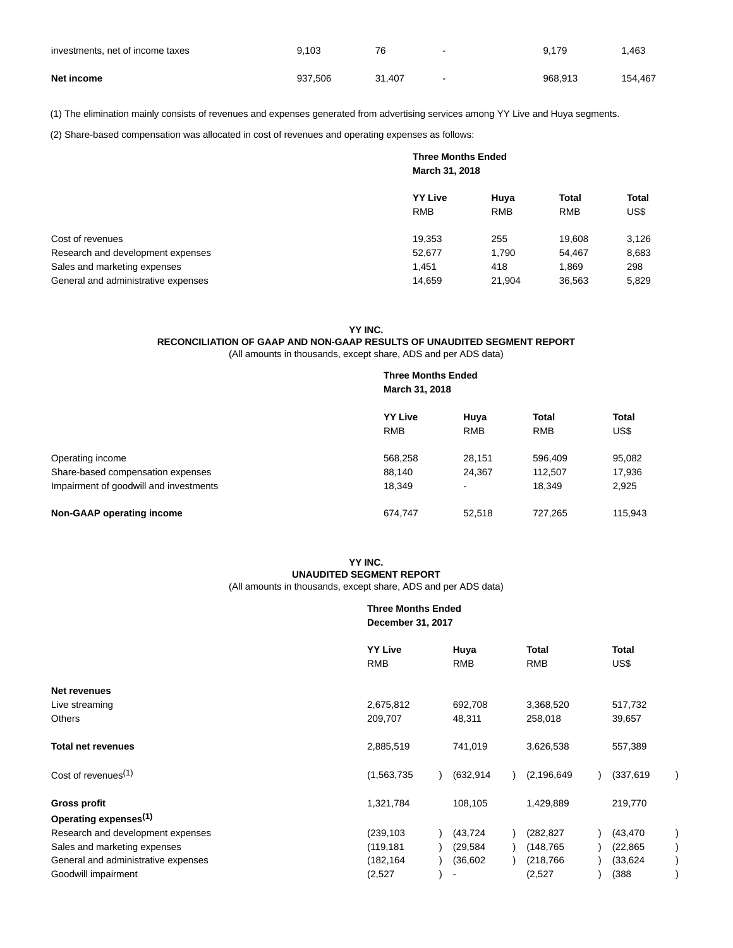| investments, net of income taxes | 9.103   | 76     | $\sim$     | 9.179   | .463    |
|----------------------------------|---------|--------|------------|---------|---------|
| Net income                       | 937.506 | 31.407 | $\sim$ $-$ | 968.913 | 154.467 |

(1) The elimination mainly consists of revenues and expenses generated from advertising services among YY Live and Huya segments.

(2) Share-based compensation was allocated in cost of revenues and operating expenses as follows:

|                                     | <b>Three Months Ended</b><br>March 31, 2018 |                    |                            |                      |
|-------------------------------------|---------------------------------------------|--------------------|----------------------------|----------------------|
|                                     | <b>YY Live</b><br><b>RMB</b>                | Huya<br><b>RMB</b> | <b>Total</b><br><b>RMB</b> | <b>Total</b><br>US\$ |
| Cost of revenues                    | 19,353                                      | 255                | 19,608                     | 3,126                |
| Research and development expenses   | 52,677                                      | 1.790              | 54.467                     | 8,683                |
| Sales and marketing expenses        | 1.451                                       | 418                | 1.869                      | 298                  |
| General and administrative expenses | 14,659                                      | 21,904             | 36,563                     | 5,829                |

### **YY INC.**

# **RECONCILIATION OF GAAP AND NON-GAAP RESULTS OF UNAUDITED SEGMENT REPORT**

(All amounts in thousands, except share, ADS and per ADS data)

|                                        | <b>Three Months Ended</b><br>March 31, 2018 |            |              |              |  |
|----------------------------------------|---------------------------------------------|------------|--------------|--------------|--|
|                                        | <b>YY Live</b>                              | Huya       | <b>Total</b> | <b>Total</b> |  |
|                                        | <b>RMB</b>                                  | <b>RMB</b> | <b>RMB</b>   | US\$         |  |
| Operating income                       | 568,258                                     | 28,151     | 596,409      | 95,082       |  |
| Share-based compensation expenses      | 88,140                                      | 24,367     | 112,507      | 17,936       |  |
| Impairment of goodwill and investments | 18,349                                      | ۰          | 18,349       | 2,925        |  |
| Non-GAAP operating income              | 674,747                                     | 52.518     | 727,265      | 115,943      |  |

# **YY INC. UNAUDITED SEGMENT REPORT**

(All amounts in thousands, except share, ADS and per ADS data)

### **Three Months Ended December 31, 2017**

|                                     | <b>YY Live</b><br><b>RMB</b> | Huya<br><b>RMB</b> | <b>Total</b><br><b>RMB</b> | <b>Total</b><br>US\$ |
|-------------------------------------|------------------------------|--------------------|----------------------------|----------------------|
| Net revenues                        |                              |                    |                            |                      |
| Live streaming                      | 2,675,812                    | 692,708            | 3,368,520                  | 517,732              |
| <b>Others</b>                       | 209,707                      | 48,311             | 258,018                    | 39,657               |
| <b>Total net revenues</b>           | 2,885,519                    | 741,019            | 3,626,538                  | 557,389              |
| Cost of revenues <sup>(1)</sup>     | (1,563,735)                  | (632, 914)         | (2, 196, 649)              | (337, 619)           |
| <b>Gross profit</b>                 | 1,321,784                    | 108,105            | 1,429,889                  | 219,770              |
| Operating expenses <sup>(1)</sup>   |                              |                    |                            |                      |
| Research and development expenses   | (239, 103)                   | (43, 724)          | (282, 827)                 | (43, 470)            |
| Sales and marketing expenses        | (119, 181)                   | (29, 584)          | (148, 765)                 | (22, 865)            |
| General and administrative expenses | (182, 164)                   | (36, 602)          | (218, 766)                 | (33, 624)            |
| Goodwill impairment                 | (2,527)                      |                    | (2,527)                    | (388)                |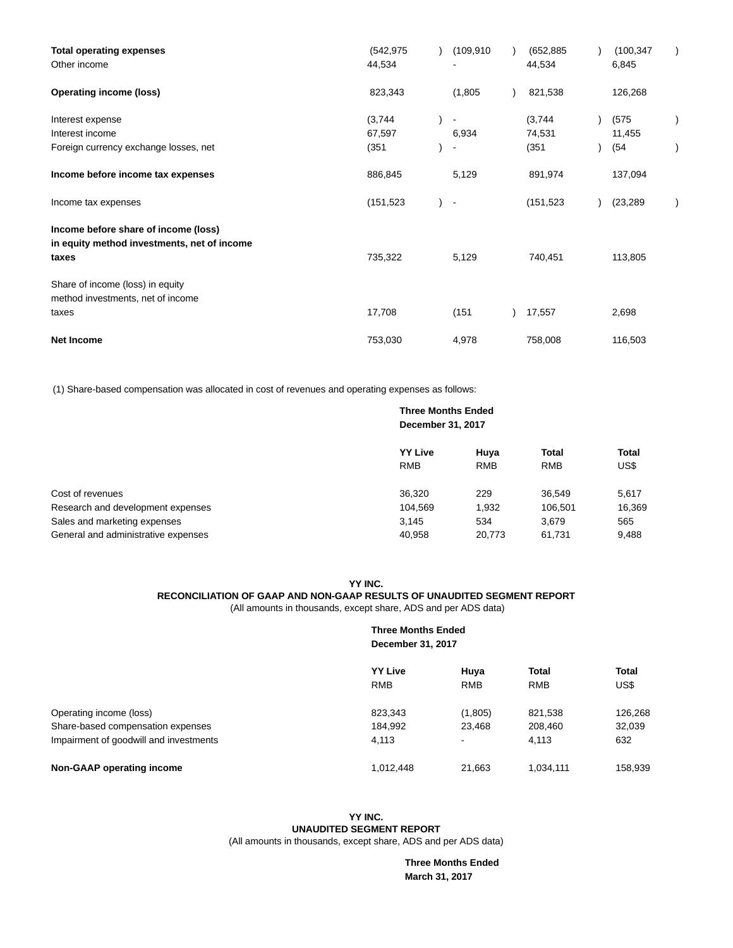| <b>Total operating expenses</b>             | (542, 975) |  | (109.910)                | (652, 885) |       | (100, 347) |  |
|---------------------------------------------|------------|--|--------------------------|------------|-------|------------|--|
| Other income                                | 44,534     |  |                          | 44,534     | 6,845 |            |  |
| <b>Operating income (loss)</b>              | 823,343    |  | (1,805)                  | 821,538    |       | 126,268    |  |
| Interest expense                            | (3,744)    |  |                          | (3,744)    |       | (575)      |  |
| Interest income                             | 67,597     |  | 6,934                    | 74,531     |       | 11,455     |  |
| Foreign currency exchange losses, net       | (351)      |  |                          | (351)      |       | (54        |  |
| Income before income tax expenses           | 886,845    |  | 5,129                    | 891,974    |       | 137,094    |  |
| Income tax expenses                         | (151, 523) |  | $\overline{\phantom{a}}$ | (151, 523) |       | (23, 289)  |  |
| Income before share of income (loss)        |            |  |                          |            |       |            |  |
| in equity method investments, net of income |            |  |                          |            |       |            |  |
| taxes                                       | 735,322    |  | 5,129                    | 740,451    |       | 113,805    |  |
| Share of income (loss) in equity            |            |  |                          |            |       |            |  |
| method investments, net of income           |            |  |                          |            |       |            |  |
| taxes                                       | 17,708     |  | (151)                    | 17,557     |       | 2,698      |  |
| <b>Net Income</b>                           | 753,030    |  | 4,978                    | 758,008    |       | 116,503    |  |

(1) Share-based compensation was allocated in cost of revenues and operating expenses as follows:

# **Three Months Ended December 31, 2017 YY Live Huya Total Total** RMB RMB RMB US\$ Cost of revenues 36,320 229 36,549 5,617 Research and development expenses 104,569 1,932 106,501 16,369 Sales and marketing expenses and the state of the state  $3,145$   $3,145$   $534$   $3,679$   $565$ General and administrative expenses 6,408 20,773 61,731 9,488

#### **YY INC. RECONCILIATION OF GAAP AND NON-GAAP RESULTS OF UNAUDITED SEGMENT REPORT** (All amounts in thousands, except share, ADS and per ADS data)

# **Three Months Ended December 31, 2017 YY Live Huya Total Total** RMB RMB RMB US\$ Operating income (loss) 823,343 (1,805) 821,538 126,268 Share-based compensation expenses 184,992 23,468 208,460 32,039 Impairment of goodwill and investments and the state of the 4,113 contract and the 4,113 contract and 4,113 contract and 4,113 contract and 4,113 contract and 4,113 contract and 4,113 contract and 4,113 contract and 4,113 **Non-GAAP operating income** 1.012,448 21,663 1,034,111 158,939

## **YY INC. UNAUDITED SEGMENT REPORT**

(All amounts in thousands, except share, ADS and per ADS data)

**Three Months Ended March 31, 2017**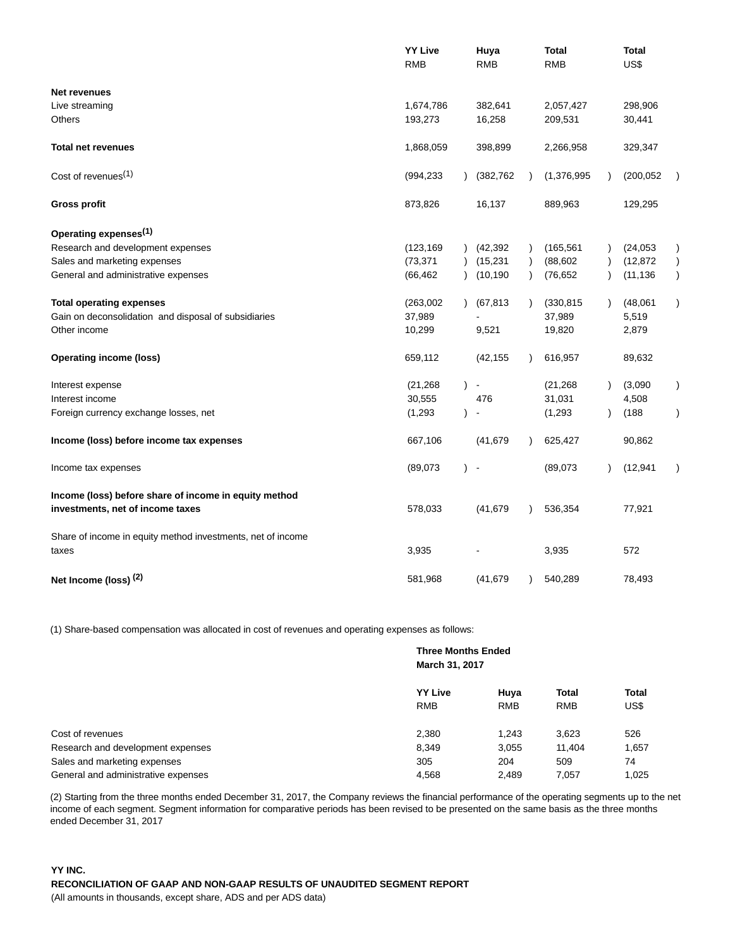|                                                             | <b>YY Live</b><br><b>RMB</b> |               | Huya<br><b>RMB</b> |           | <b>Total</b><br><b>RMB</b> |           | <b>Total</b><br>US\$ |               |
|-------------------------------------------------------------|------------------------------|---------------|--------------------|-----------|----------------------------|-----------|----------------------|---------------|
| <b>Net revenues</b>                                         |                              |               |                    |           |                            |           |                      |               |
| Live streaming                                              | 1,674,786                    |               | 382,641            |           | 2,057,427                  |           | 298,906              |               |
| <b>Others</b>                                               | 193,273                      |               | 16,258             |           | 209,531                    |           | 30,441               |               |
| <b>Total net revenues</b>                                   | 1,868,059                    |               | 398,899            |           | 2,266,958                  |           | 329,347              |               |
| Cost of revenues <sup>(1)</sup>                             | (994, 233)                   |               | (382, 762)         |           | (1,376,995)                | $\lambda$ | (200, 052)           |               |
| <b>Gross profit</b>                                         | 873,826                      |               | 16,137             |           | 889,963                    |           | 129,295              |               |
| Operating expenses <sup>(1)</sup>                           |                              |               |                    |           |                            |           |                      |               |
| Research and development expenses                           | (123, 169)                   |               | (42, 392)          | $\lambda$ | (165, 561)                 |           | (24, 053)            |               |
| Sales and marketing expenses                                | (73, 371)                    | $\lambda$     | (15, 231)          | $\lambda$ | (88, 602)                  |           | (12, 872)            | $\mathcal{C}$ |
| General and administrative expenses                         | (66, 462)                    | $\lambda$     | (10, 190)          | $\lambda$ | (76, 652)                  |           | (11, 136)            | $\lambda$     |
| <b>Total operating expenses</b>                             | (263,002)                    |               | (67, 813)          |           | (330, 815)                 |           | (48,061)             | $\lambda$     |
| Gain on deconsolidation and disposal of subsidiaries        | 37,989                       |               |                    |           | 37,989                     |           | 5,519                |               |
| Other income                                                | 10,299                       |               | 9,521              |           | 19,820                     |           | 2,879                |               |
| <b>Operating income (loss)</b>                              | 659,112                      |               | (42, 155)          | $\lambda$ | 616,957                    |           | 89,632               |               |
| Interest expense                                            | (21, 268)                    | $\mathcal{L}$ | $\blacksquare$     |           | (21, 268)                  |           | (3,090)              | $\lambda$     |
| Interest income                                             | 30,555                       |               | 476                |           | 31,031                     |           | 4,508                |               |
| Foreign currency exchange losses, net                       | (1, 293)                     | $\lambda$     |                    |           | (1, 293)                   |           | (188)                | $\lambda$     |
| Income (loss) before income tax expenses                    | 667,106                      |               | (41, 679)          |           | 625,427                    |           | 90,862               |               |
| Income tax expenses                                         | (89,073)                     | $\lambda$     | $\sim$             |           | (89,073)                   |           | (12, 941)            |               |
| Income (loss) before share of income in equity method       |                              |               |                    |           |                            |           |                      |               |
| investments, net of income taxes                            | 578,033                      |               | (41, 679)          | $\lambda$ | 536,354                    |           | 77,921               |               |
| Share of income in equity method investments, net of income |                              |               |                    |           |                            |           |                      |               |
| taxes                                                       | 3,935                        |               |                    |           | 3,935                      |           | 572                  |               |
| Net Income (loss) (2)                                       | 581,968                      |               | (41, 679)          |           | 540,289                    |           | 78,493               |               |

(1) Share-based compensation was allocated in cost of revenues and operating expenses as follows:

|                                     |                | <b>Three Months Ended</b><br>March 31, 2017 |              |              |  |  |
|-------------------------------------|----------------|---------------------------------------------|--------------|--------------|--|--|
|                                     | <b>YY Live</b> | Huya                                        | <b>Total</b> | <b>Total</b> |  |  |
|                                     | <b>RMB</b>     | <b>RMB</b>                                  | <b>RMB</b>   | US\$         |  |  |
| Cost of revenues                    | 2,380          | 1.243                                       | 3,623        | 526          |  |  |
| Research and development expenses   | 8.349          | 3.055                                       | 11.404       | 1,657        |  |  |
| Sales and marketing expenses        | 305            | 204                                         | 509          | 74           |  |  |
| General and administrative expenses | 4,568          | 2.489                                       | 7.057        | 1.025        |  |  |

(2) Starting from the three months ended December 31, 2017, the Company reviews the financial performance of the operating segments up to the net income of each segment. Segment information for comparative periods has been revised to be presented on the same basis as the three months ended December 31, 2017